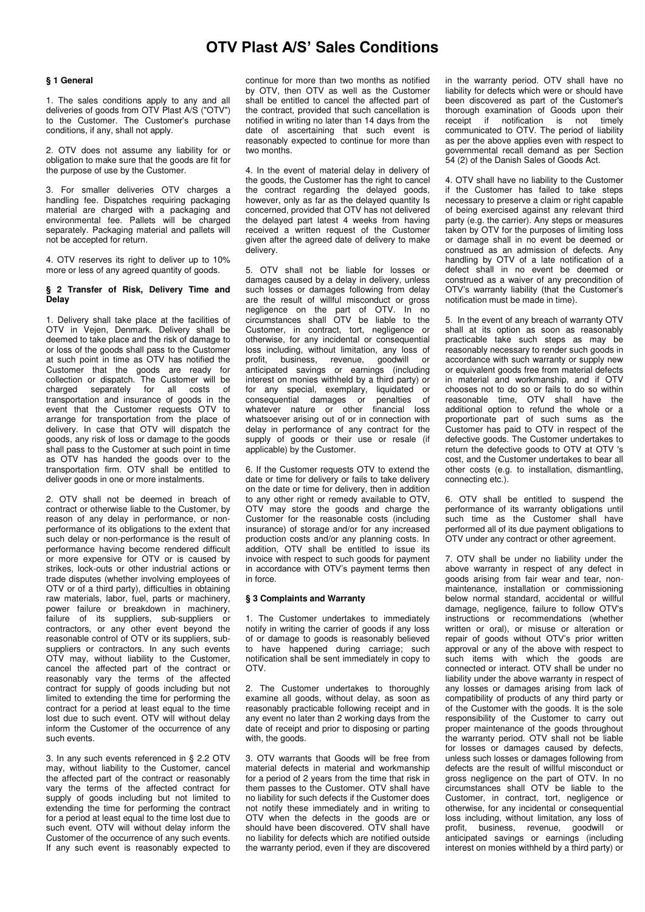# **OTV Plast A/S' Sales Conditions**

#### **§ 1 General**

1. The sales conditions apply to any and all deliveries of goods from OTV Plast A/S ("OTV") to the Customer. The Customer's purchase conditions, if any, shall not apply.

2. OTV does not assume any liability for or obligation to make sure that the goods are fit for the purpose of use by the Customer.

3. For smaller deliveries OTV charges a handling fee. Dispatches requiring packaging material are charged with a packaging and environmental fee. Pallets will be charged separately. Packaging material and pallets will not be accepted for return.

4. OTV reserves its right to deliver up to 10% more or less of any agreed quantity of goods.

## **§ 2 Transfer of Risk, Delivery Time and Delay**

1. Delivery shall take place at the facilities of OTV in Vejen, Denmark. Delivery shall be deemed to take place and the risk of damage to or loss of the goods shall pass to the Customer at such point in time as OTV has notified the Customer that the goods are ready for collection or dispatch. The Customer will be charged separately for all costs of separately for all costs transportation and insurance of goods in the event that the Customer requests OTV to arrange for transportation from the place of delivery. In case that OTV will dispatch the goods, any risk of loss or damage to the goods shall pass to the Customer at such point in time as OTV has handed the goods over to the transportation firm. OTV shall be entitled to deliver goods in one or more instalments.

2. OTV shall not be deemed in breach of contract or otherwise liable to the Customer, by reason of any delay in performance, or nonperformance of its obligations to the extent that such delay or non-performance is the result of performance having become rendered difficult or more expensive for OTV or is caused by strikes, lock-outs or other industrial actions or trade disputes (whether involving employees of OTV or of a third party), difficulties in obtaining raw materials, labor, fuel, parts or machinery, power failure or breakdown in machinery, failure of its suppliers, sub-suppliers or contractors, or any other event beyond the reasonable control of OTV or its suppliers, subsuppliers or contractors. In any such events OTV may, without liability to the Customer, cancel the affected part of the contract or reasonably vary the terms of the affected contract for supply of goods including but not limited to extending the time for performing the contract for a period at least equal to the time lost due to such event. OTV will without delay inform the Customer of the occurrence of any such events.

3. In any such events referenced in § 2.2 OTV may, without liability to the Customer, cancel the affected part of the contract or reasonably vary the terms of the affected contract for supply of goods including but not limited to extending the time for performing the contract for a period at least equal to the time lost due to such event. OTV will without delay inform the Customer of the occurrence of any such events. If any such event is reasonably expected to

continue for more than two months as notified by OTV, then OTV as well as the Customer shall be entitled to cancel the affected part of the contract, provided that such cancellation is notified in writing no later than 14 days from the date of ascertaining that such event is reasonably expected to continue for more than two months.

4. In the event of material delay in delivery of the goods, the Customer has the right to cancel the contract regarding the delayed goods, however, only as far as the delayed quantity Is concerned, provided that OTV has not delivered the delayed part latest 4 weeks from having received a written request of the Customer given after the agreed date of delivery to make delivery.

5. OTV shall not be liable for losses or damages caused by a delay in delivery, unless such losses or damages following from delay are the result of willful misconduct or gross negligence on the part of OTV. In no circumstances shall OTV be liable to the Customer, in contract, tort, negligence or otherwise, for any incidental or consequential loss including, without limitation, any loss of profit, business, revenue, goodwill or business, revenue, goodwill or anticipated savings or earnings (including interest on monies withheld by a third party) or for any special, exemplary, liquidated or consequential damages or penalties of whatever nature or other financial loss whatsoever arising out of or in connection with delay in performance of any contract for the supply of goods or their use or resale (if applicable) by the Customer.

6. If the Customer requests OTV to extend the date or time for delivery or fails to take delivery on the date or time for delivery, then in addition to any other right or remedy available to OTV, OTV may store the goods and charge the Customer for the reasonable costs (including insurance) of storage and/or for any increased production costs and/or any planning costs. In addition, OTV shall be entitled to issue its invoice with respect to such goods for payment in accordance with OTV's payment terms then in force.

## **§ 3 Complaints and Warranty**

1. The Customer undertakes to immediately notify in writing the carrier of goods if any loss of or damage to goods is reasonably believed to have happened during carriage; such notification shall be sent immediately in copy to OTV.

2. The Customer undertakes to thoroughly examine all goods, without delay, as soon as reasonably practicable following receipt and in any event no later than 2 working days from the date of receipt and prior to disposing or parting with, the goods.

3. OTV warrants that Goods will be free from material defects in material and workmanship for a period of 2 years from the time that risk in them passes to the Customer. OTV shall have no liability for such defects if the Customer does not notify these immediately and in writing to OTV when the defects in the goods are or should have been discovered. OTV shall have no liability for defects which are notified outside the warranty period, even if they are discovered

in the warranty period. OTV shall have no liability for defects which were or should have been discovered as part of the Customer's thorough examination of Goods upon their receipt if notification is not timely communicated to OTV. The period of liability as per the above applies even with respect to governmental recall demand as per Section 54 (2) of the Danish Sales of Goods Act.

4. OTV shall have no liability to the Customer if the Customer has failed to take steps necessary to preserve a claim or right capable of being exercised against any relevant third party (e.g. the carrier). Any steps or measures taken by OTV for the purposes of limiting loss or damage shall in no event be deemed or construed as an admission of defects. Any handling by OTV of a late notification of a defect shall in no event be deemed or construed as a waiver of any precondition of OTV's warranty liability (that the Customer's notification must be made in time).

5. In the event of any breach of warranty OTV shall at its option as soon as reasonably practicable take such steps as may be reasonably necessary to render such goods in accordance with such warranty or supply new or equivalent goods free from material defects in material and workmanship, and if OTV chooses not to do so or fails to do so within reasonable time, OTV shall have the additional option to refund the whole or a proportionate part of such sums as the Customer has paid to OTV in respect of the defective goods. The Customer undertakes to return the defective goods to OTV at OTV 's cost, and the Customer undertakes to bear all other costs (e.g. to installation, dismantling, connecting etc.).

6. OTV shall be entitled to suspend the performance of its warranty obligations until such time as the Customer shall have performed all of its due payment obligations to OTV under any contract or other agreement.

7. OTV shall be under no liability under the above warranty in respect of any defect in goods arising from fair wear and tear, nonmaintenance, installation or commissioning below normal standard, accidental or willful damage, negligence, failure to follow OTV's instructions or recommendations (whether written or oral), or misuse or alteration or repair of goods without OTV's prior written approval or any of the above with respect to such items with which the goods are connected or interact. OTV shall be under no liability under the above warranty in respect of any losses or damages arising from lack of compatibility of products of any third party or of the Customer with the goods. It is the sole responsibility of the Customer to carry out proper maintenance of the goods throughout the warranty period. OTV shall not be liable for losses or damages caused by defects, unless such losses or damages following from defects are the result of willful misconduct or gross negligence on the part of OTV. In no circumstances shall OTV be liable to the Customer, in contract, tort, negligence or otherwise, for any incidental or consequential loss including, without limitation, any loss of profit, business, revenue, goodwill or anticipated savings or earnings (including interest on monies withheld by a third party) or